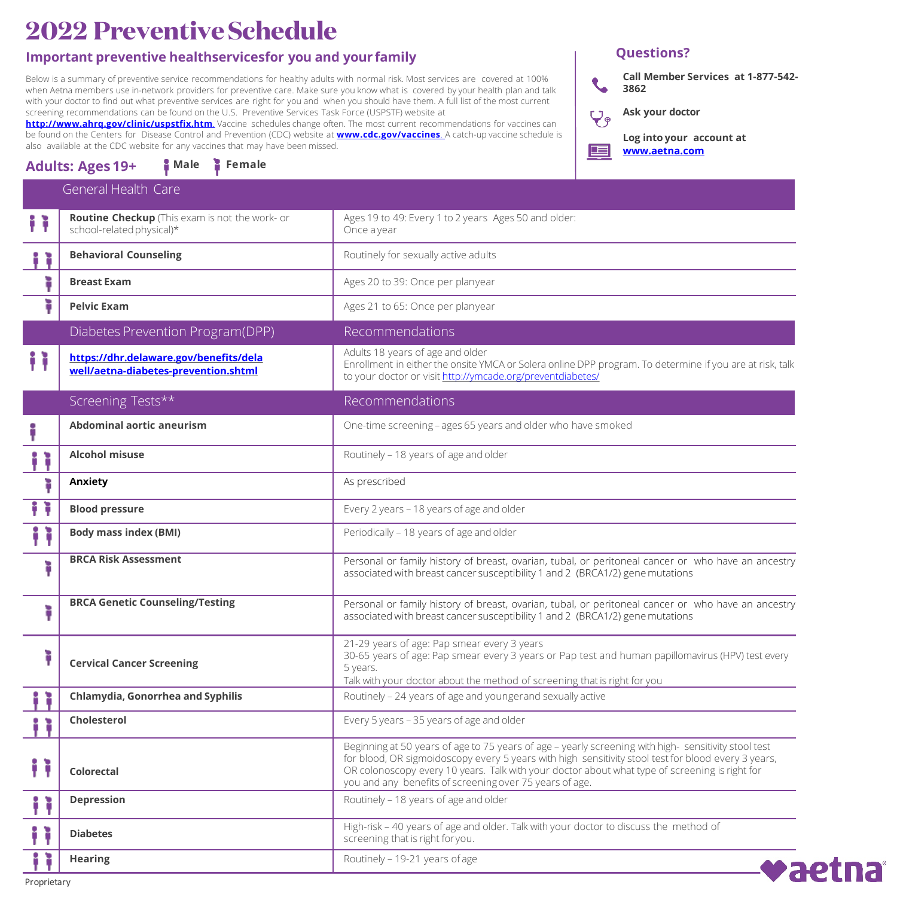# **2022 PreventiveSchedule**

## **Important preventive healthservicesfor you and your family**

Below is a summary of preventive service recommendations for healthy adults with normal risk. Most services are covered at 100% when Aetna members use in-network providers for preventive care. Make sure you know what is covered by your health plan and talk with your doctor to find out what preventive services are right for you and when you should have them. A full list of the most current screening recommendations can be found on the U.S. Preventive Services Task Force (USPSTF) website at

**<http://www.ahrq.gov/clinic/uspstfix.htm>**. Vaccine schedules change often. The most current recommendations for vaccines can be found on the Centers for Disease Control and Prevention (CDC) website at **[www.cdc.gov/vaccines](http://www.cdc.gov/vaccines)**. A catch-up vaccine schedule is also available at the CDC website for any vaccines that may have been missed.

# **Adults: Ages 19+ Male Female**

## **Questions?**

**Call Member Services at 1-877-542-**  $\mathbf{C}$ **3862**

**Ask your doctor**



|   | <b>General Health Care</b>                                                     |                                                                                                                                                                                                                                                                                                                                                                         |
|---|--------------------------------------------------------------------------------|-------------------------------------------------------------------------------------------------------------------------------------------------------------------------------------------------------------------------------------------------------------------------------------------------------------------------------------------------------------------------|
|   | Routine Checkup (This exam is not the work- or<br>school-related physical)*    | Ages 19 to 49: Every 1 to 2 years Ages 50 and older:<br>Once a year                                                                                                                                                                                                                                                                                                     |
|   | <b>Behavioral Counseling</b>                                                   | Routinely for sexually active adults                                                                                                                                                                                                                                                                                                                                    |
|   | <b>Breast Exam</b>                                                             | Ages 20 to 39: Once per planyear                                                                                                                                                                                                                                                                                                                                        |
| ì | <b>Pelvic Exam</b>                                                             | Ages 21 to 65: Once per planyear                                                                                                                                                                                                                                                                                                                                        |
|   | Diabetes Prevention Program(DPP)                                               | Recommendations                                                                                                                                                                                                                                                                                                                                                         |
|   | https://dhr.delaware.gov/benefits/dela<br>well/aetna-diabetes-prevention.shtml | Adults 18 years of age and older<br>Enrollment in either the onsite YMCA or Solera online DPP program. To determine if you are at risk, talk<br>to your doctor or visit http://ymcade.org/preventdiabetes/                                                                                                                                                              |
|   | Screening Tests**                                                              | Recommendations                                                                                                                                                                                                                                                                                                                                                         |
|   | <b>Abdominal aortic aneurism</b>                                               | One-time screening - ages 65 years and older who have smoked                                                                                                                                                                                                                                                                                                            |
|   | <b>Alcohol misuse</b>                                                          | Routinely - 18 years of age and older                                                                                                                                                                                                                                                                                                                                   |
| ì | Anxiety                                                                        | As prescribed                                                                                                                                                                                                                                                                                                                                                           |
| Ħ | <b>Blood pressure</b>                                                          | Every 2 years - 18 years of age and older                                                                                                                                                                                                                                                                                                                               |
| Ħ | <b>Body mass index (BMI)</b>                                                   | Periodically - 18 years of age and older                                                                                                                                                                                                                                                                                                                                |
| ì | <b>BRCA Risk Assessment</b>                                                    | Personal or family history of breast, ovarian, tubal, or peritoneal cancer or who have an ancestry<br>associated with breast cancer susceptibility 1 and 2 (BRCA1/2) gene mutations                                                                                                                                                                                     |
| ì | <b>BRCA Genetic Counseling/Testing</b>                                         | Personal or family history of breast, ovarian, tubal, or peritoneal cancer or who have an ancestry<br>associated with breast cancer susceptibility 1 and 2 (BRCA1/2) gene mutations                                                                                                                                                                                     |
| ì | <b>Cervical Cancer Screening</b>                                               | 21-29 years of age: Pap smear every 3 years<br>30-65 years of age: Pap smear every 3 years or Pap test and human papillomavirus (HPV) test every<br>5 years.<br>Talk with your doctor about the method of screening that is right for you                                                                                                                               |
|   | Chlamydia, Gonorrhea and Syphilis                                              | Routinely - 24 years of age and younger and sexually active                                                                                                                                                                                                                                                                                                             |
|   | Cholesterol                                                                    | Every 5 years - 35 years of age and older                                                                                                                                                                                                                                                                                                                               |
|   | Colorectal                                                                     | Beginning at 50 years of age to 75 years of age - yearly screening with high-sensitivity stool test<br>for blood, OR sigmoidoscopy every 5 years with high sensitivity stool test for blood every 3 years,<br>OR colonoscopy every 10 years. Talk with your doctor about what type of screening is right for<br>you and any benefits of screening over 75 years of age. |
|   | <b>Depression</b>                                                              | Routinely - 18 years of age and older                                                                                                                                                                                                                                                                                                                                   |
|   | <b>Diabetes</b>                                                                | High-risk - 40 years of age and older. Talk with your doctor to discuss the method of<br>screening that is right for you.                                                                                                                                                                                                                                               |
|   | <b>Hearing</b>                                                                 | Routinely - 19-21 years of age<br>vaetna                                                                                                                                                                                                                                                                                                                                |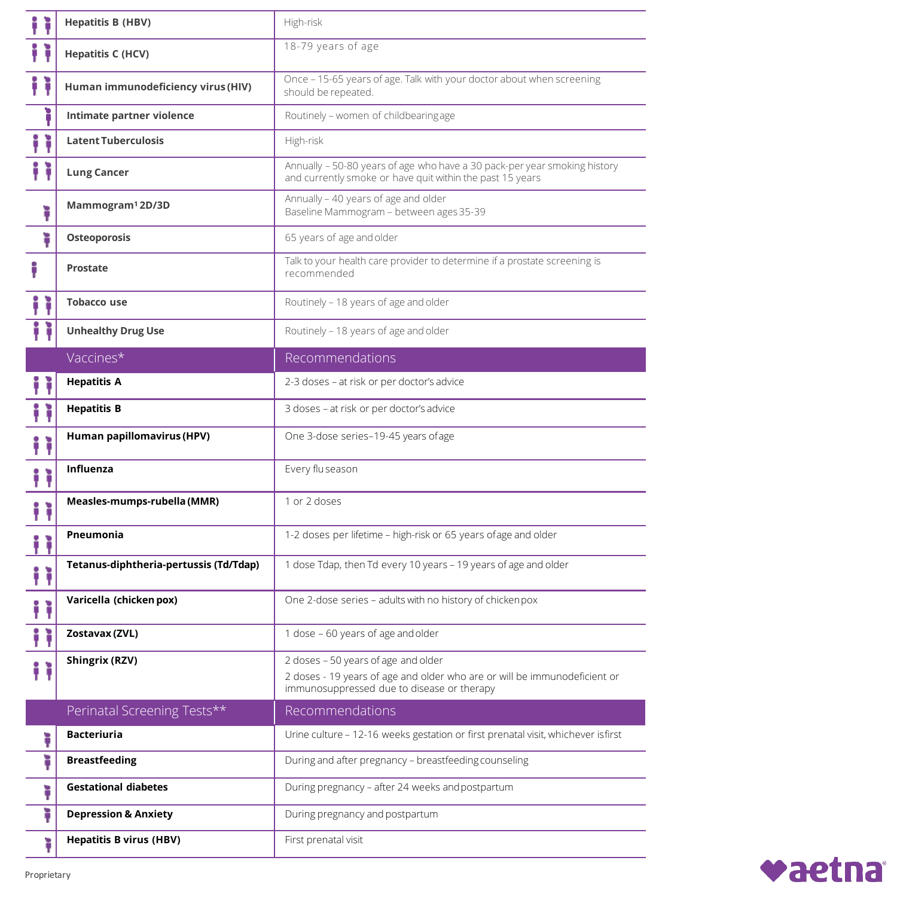|        | <b>Hepatitis B (HBV)</b>               | High-risk                                                                                                                                                      |
|--------|----------------------------------------|----------------------------------------------------------------------------------------------------------------------------------------------------------------|
|        | <b>Hepatitis C (HCV)</b>               | 18-79 years of age                                                                                                                                             |
|        | Human immunodeficiency virus (HIV)     | Once - 15-65 years of age. Talk with your doctor about when screening<br>should be repeated.                                                                   |
| D      | Intimate partner violence              | Routinely - women of childbearing age                                                                                                                          |
|        | <b>Latent Tuberculosis</b>             | High-risk                                                                                                                                                      |
|        | <b>Lung Cancer</b>                     | Annually - 50-80 years of age who have a 30 pack-per year smoking history<br>and currently smoke or have quit within the past 15 years                         |
| ì      | Mammogram <sup>1</sup> 2D/3D           | Annually - 40 years of age and older<br>Baseline Mammogram - between ages 35-39                                                                                |
| ì      | Osteoporosis                           | 65 years of age and older                                                                                                                                      |
|        | Prostate                               | Talk to your health care provider to determine if a prostate screening is<br>recommended                                                                       |
|        | <b>Tobacco use</b>                     | Routinely - 18 years of age and older                                                                                                                          |
|        | <b>Unhealthy Drug Use</b>              | Routinely - 18 years of age and older                                                                                                                          |
|        | Vaccines*                              | Recommendations                                                                                                                                                |
|        | <b>Hepatitis A</b>                     | 2-3 doses - at risk or per doctor's advice                                                                                                                     |
|        | <b>Hepatitis B</b>                     | 3 doses - at risk or per doctor's advice                                                                                                                       |
|        | Human papillomavirus (HPV)             | One 3-dose series-19-45 years ofage                                                                                                                            |
|        | Influenza                              | Every flu season                                                                                                                                               |
| i      | Measles-mumps-rubella (MMR)            | 1 or 2 doses                                                                                                                                                   |
|        | Pneumonia                              | 1-2 doses per lifetime - high-risk or 65 years ofage and older                                                                                                 |
| i<br>ì | Tetanus-diphtheria-pertussis (Td/Tdap) | 1 dose Tdap, then Td every 10 years - 19 years of age and older                                                                                                |
| î.     | Varicella (chicken pox)                | One 2-dose series - adults with no history of chickenpox                                                                                                       |
| î.     | Zostavax (ZVL)                         | 1 dose - 60 years of age and older                                                                                                                             |
| Ħ      | <b>Shingrix (RZV)</b>                  | 2 doses - 50 years of age and older<br>2 doses - 19 years of age and older who are or will be immunodeficient or<br>immunosuppressed due to disease or therapy |
|        | Perinatal Screening Tests**            | Recommendations                                                                                                                                                |
|        | <b>Bacteriuria</b>                     | Urine culture - 12-16 weeks gestation or first prenatal visit, whichever isfirst                                                                               |
| ì      | <b>Breastfeeding</b>                   | During and after pregnancy - breastfeeding counseling                                                                                                          |
| ì      | <b>Gestational diabetes</b>            | During pregnancy - after 24 weeks and postpartum                                                                                                               |
| ì      | <b>Depression &amp; Anxiety</b>        | During pregnancy and postpartum                                                                                                                                |
| ì      | <b>Hepatitis B virus (HBV)</b>         | First prenatal visit                                                                                                                                           |

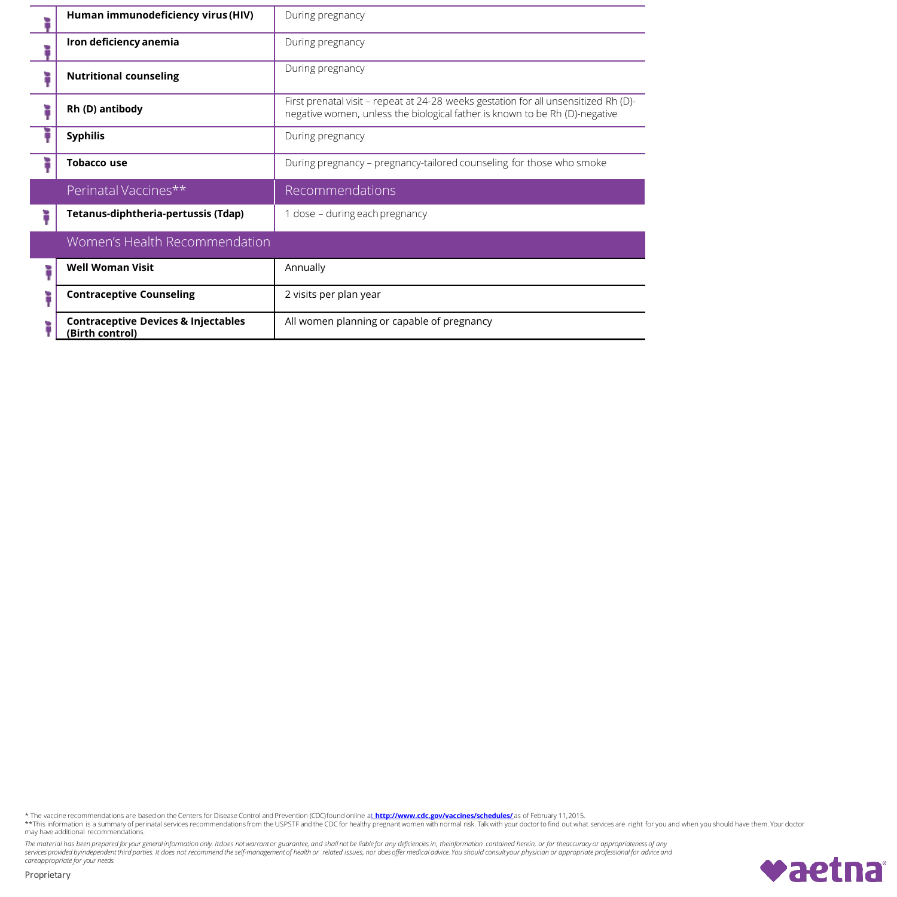| Human immunodeficiency virus (HIV)                                | During pregnancy                                                                                                                                                   |
|-------------------------------------------------------------------|--------------------------------------------------------------------------------------------------------------------------------------------------------------------|
| Iron deficiency anemia                                            | During pregnancy                                                                                                                                                   |
| <b>Nutritional counseling</b>                                     | During pregnancy                                                                                                                                                   |
| Rh (D) antibody                                                   | First prenatal visit - repeat at 24-28 weeks gestation for all unsensitized Rh (D)-<br>negative women, unless the biological father is known to be Rh (D)-negative |
| <b>Syphilis</b>                                                   | During pregnancy                                                                                                                                                   |
| Tobacco use                                                       | During pregnancy – pregnancy-tailored counseling for those who smoke                                                                                               |
| Perinatal Vaccines**                                              | Recommendations                                                                                                                                                    |
| Tetanus-diphtheria-pertussis (Tdap)                               | 1 dose - during each pregnancy                                                                                                                                     |
| Women's Health Recommendation                                     |                                                                                                                                                                    |
| <b>Well Woman Visit</b>                                           | Annually                                                                                                                                                           |
| <b>Contraceptive Counseling</b>                                   | 2 visits per plan year                                                                                                                                             |
| <b>Contraceptive Devices &amp; Injectables</b><br>(Birth control) | All women planning or capable of pregnancy                                                                                                                         |

\* The vaccine recommendations are based on the Centers for Disease Control and Prevention (CDC)found online a<u>t **http://www.cdc.gov/vaccines/schedules/**</u> as of February 11,2015.<br>\*\*This information is a summary of perinatal

The material has been prepared for your general information only. Itdoes not warrant or guarantee, and shall not be liable for any deficiencies in, theinformation contained herein, or for theaccuracy or appropriateness of *careappropriate for your needs.*

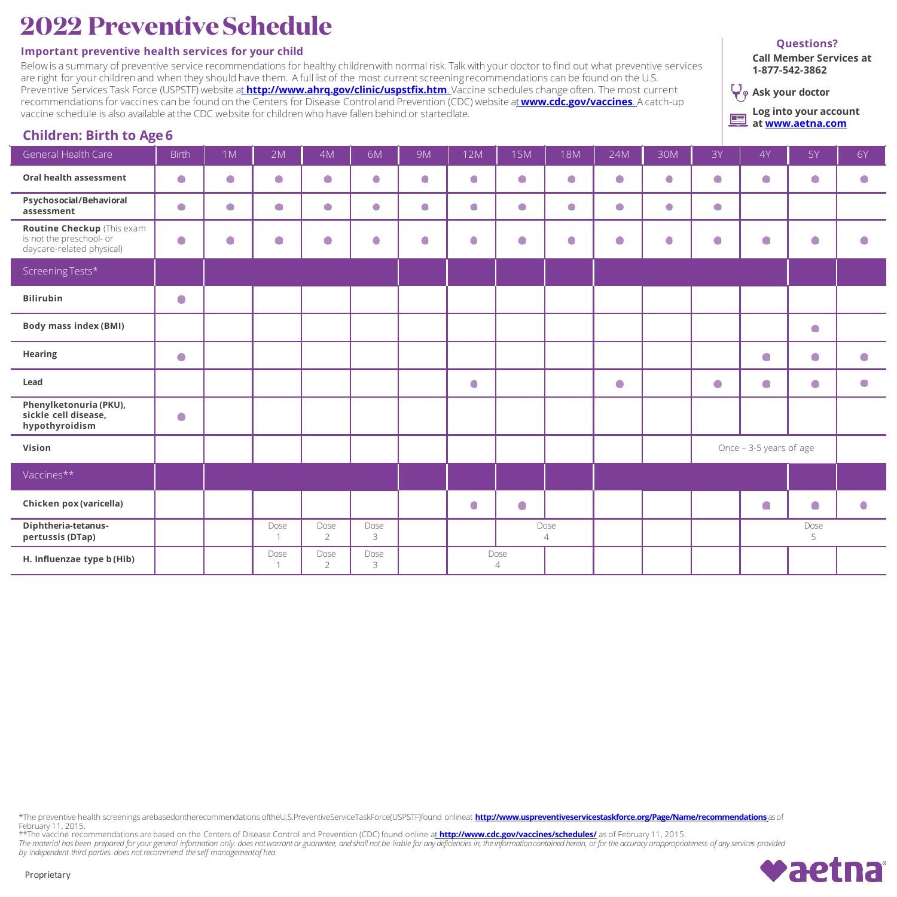# **2022 PreventiveSchedule**

### **Important preventive health services for your child**

Below is a summary of preventive service recommendations for healthy childrenwith normal risk. Talk with your doctor to find out what preventive services are right for your children and when they should have them. A full listof the most current screening recommendations can be found on the U.S. Preventive Services Task Force (USPSTF) website at **<http://www.ahrq.gov/clinic/uspstfix.htm>**. Vaccine schedules change often. The most current recommendations for vaccines can be found on the Centers for Disease Control and Prevention (CDC) website at**[www.cdc.gov/vaccines](http://www.cdc.gov/vaccines)**. A catch-up vaccine schedule is also available atthe CDC website for children who have fallen behind or startedlate.

#### **Questions?**

**Call Member Services at 1-877-542-3862**

**Ask your doctor**

**Log into your account**  囯 **at [www.aetna.com](http://www.aetna.com/)**

# **Children: Birth to Age 6**

| ັ                                                                                   |              |           |                        |                        |           |           |     |                        |                        |           |     |                         |           |           |                          |
|-------------------------------------------------------------------------------------|--------------|-----------|------------------------|------------------------|-----------|-----------|-----|------------------------|------------------------|-----------|-----|-------------------------|-----------|-----------|--------------------------|
| General Health Care                                                                 | <b>Birth</b> | 1M        | 2M                     | 4M                     | 6M        | <b>9M</b> | 12M | 15M                    | 18M                    | 24M       | 30M | 3Y                      | 4Y        | 5Y        | <b>6Y</b>                |
| Oral health assessment                                                              |              |           |                        |                        |           |           |     |                        |                        |           |     |                         |           |           |                          |
| Psychosocial/Behavioral<br>assessment                                               |              |           |                        |                        |           |           |     |                        |                        |           |     |                         |           |           |                          |
| Routine Checkup (This exam<br>is not the preschool- or<br>daycare-related physical) | $\bullet$    | $\bullet$ | $\bullet$              | $\bullet$              |           |           | O)  | $\bullet$              |                        | $\bullet$ |     | $\bullet$               | $\bullet$ | $\bullet$ | $\blacksquare$           |
| Screening Tests*                                                                    |              |           |                        |                        |           |           |     |                        |                        |           |     |                         |           |           |                          |
| <b>Bilirubin</b>                                                                    | $\bullet$    |           |                        |                        |           |           |     |                        |                        |           |     |                         |           |           |                          |
| <b>Body mass index (BMI)</b>                                                        |              |           |                        |                        |           |           |     |                        |                        |           |     |                         |           |           |                          |
| Hearing                                                                             | $\bullet$    |           |                        |                        |           |           |     |                        |                        |           |     |                         | $\bullet$ | $\bullet$ | $\bullet$                |
| Lead                                                                                |              |           |                        |                        |           |           | ۰   |                        |                        | $\bullet$ |     | $\bullet$               | $\bullet$ | $\bullet$ |                          |
| Phenylketonuria (PKU),<br>sickle cell disease,<br>hypothyroidism                    | $\bullet$    |           |                        |                        |           |           |     |                        |                        |           |     |                         |           |           |                          |
| Vision                                                                              |              |           |                        |                        |           |           |     |                        |                        |           |     | Once - 3-5 years of age |           |           |                          |
| Vaccines**                                                                          |              |           |                        |                        |           |           |     |                        |                        |           |     |                         |           |           |                          |
| Chicken pox (varicella)                                                             |              |           |                        |                        |           |           | ۰   | $\bullet$              |                        |           |     |                         | $\bullet$ | $\bullet$ | $\overline{\mathcal{L}}$ |
| Diphtheria-tetanus-<br>pertussis (DTap)                                             |              |           | Dose<br>-1             | Dose<br>$\overline{2}$ | Dose<br>3 |           |     |                        | Dose<br>$\overline{4}$ |           |     |                         |           | Dose<br>5 |                          |
| H. Influenzae type b (Hib)                                                          |              |           | Dose<br>$\overline{1}$ | Dose<br>$\overline{2}$ | Dose<br>3 |           |     | Dose<br>$\overline{4}$ |                        |           |     |                         |           |           |                          |

\*The preventive health screenings arebasedontherecommendations oftheU.S.PreventiveServiceTaskForce(USPSTF)found onlineat **<http://www.uspreventiveservicestaskforce.org/Page/Name/recommendations>** as of February 11, 2015.

\*\*The vaccine recommendations are based on the Centers of Disease Control and Prevention (CDC) found online at **<http://www.cdc.gov/vaccines/schedules/>** as of February 11, 2015.<br>The material has been prepared for your gener

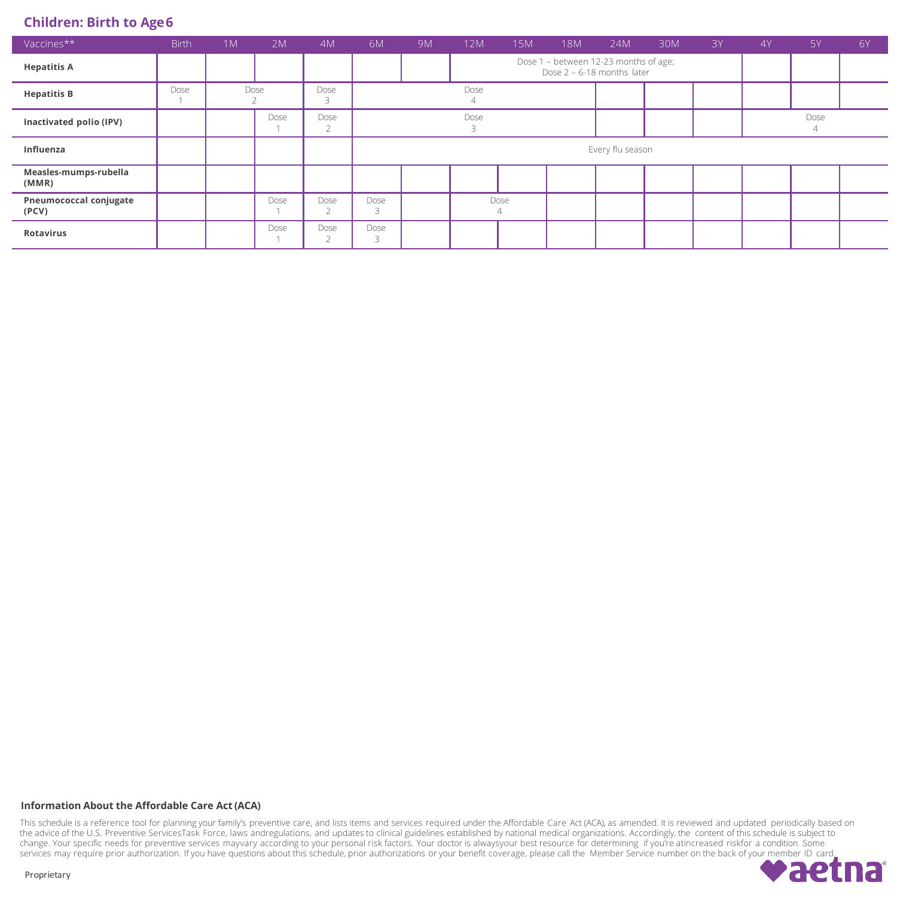## **Children: Birth to Age6**

| Vaccines**                      | <b>Birth</b> | 1M | 2M   | 4M                     | 6M                                                                      | 9 <sub>M</sub> | 12M  | 15M | 18M | 24M | 30M | 3Y | 4Y | 5Y   | 6Y |  |
|---------------------------------|--------------|----|------|------------------------|-------------------------------------------------------------------------|----------------|------|-----|-----|-----|-----|----|----|------|----|--|
| <b>Hepatitis A</b>              |              |    |      |                        | Dose 1 - between 12-23 months of age;<br>Dose $2 - 6 - 18$ months later |                |      |     |     |     |     |    |    |      |    |  |
| <b>Hepatitis B</b>              | Dose         |    | Dose | Dose<br>$\bigcap$      | Dose                                                                    |                |      |     |     |     |     |    |    |      |    |  |
| Inactivated polio (IPV)         |              |    | Dose | Dose<br>$\sim$<br>∠    |                                                                         |                | Dose |     |     |     |     |    |    | Dose |    |  |
| Influenza                       |              |    |      |                        | Every flu season                                                        |                |      |     |     |     |     |    |    |      |    |  |
| Measles-mumps-rubella<br>(MMR)  |              |    |      |                        |                                                                         |                |      |     |     |     |     |    |    |      |    |  |
| Pneumococcal conjugate<br>(PCV) |              |    | Dose | Dose<br>$\bigcap$<br>∠ | Dose<br>Dose<br>4                                                       |                |      |     |     |     |     |    |    |      |    |  |
| <b>Rotavirus</b>                |              |    | Dose | Dose<br>$\bigcap$      | Dose<br>$\overline{\phantom{0}}$                                        |                |      |     |     |     |     |    |    |      |    |  |

### **Information About the Affordable Care Act (ACA)**

This schedule is a reference tool for planning your family's preventive care, and lists items and services required under the Affordable Care Act (ACA), as amended. It is reviewed and updated periodically based on the advice of the U.S. Preventive ServicesTask Force, laws andregulations, and updates to clinical guidelines established by national medical organizations. Accordingly, the content of this schedule is subject to change. Your specific needs for preventive services mayvary according to your personal risk factors. Your doctor is alwaysyour best resource for determining if you're atincreased riskfor a condition. Some services may require prior authorization. If you have questions about this schedule, prior authorizations or your benefit coverage, please call the Member Service number on the back of your member ID card.

aetna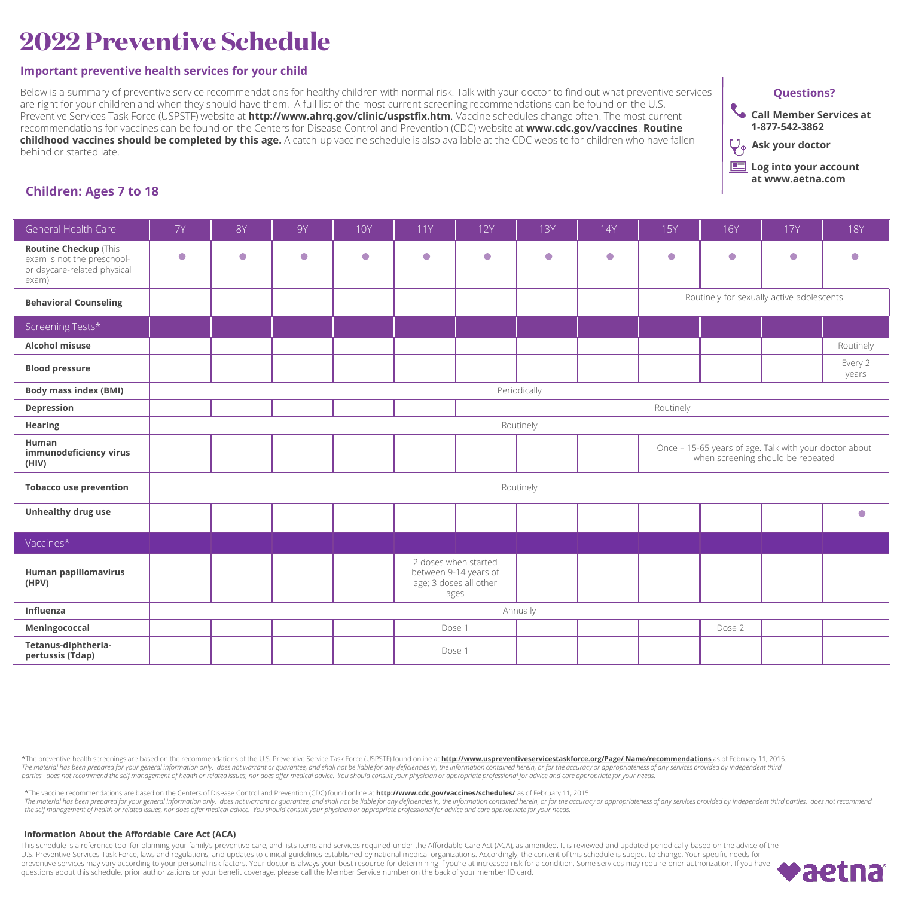# **2022 Preventive Schedule**

### **Important preventive health services for your child**

Below is a summary of preventive service recommendations for healthy children with normal risk. Talk with your doctor to find out what preventive services are right for your children and when they should have them. A full list of the most current screening recommendations can be found on the U.S. Preventive Services Task Force (USPSTF) website at **http://www.ahrq.gov/clinic/uspstfix.htm**. Vaccine schedules change often. The most current recommendations for vaccines can be found on the Centers for Disease Control and Prevention (CDC) website at **www.cdc.gov/vaccines**. **Routine childhood vaccines should be completed by this age.** A catch-up vaccine schedule is also available at the CDC website for children who have fallen behind or started late.





**Log into your account at www.aetna.com**

## **Children: Ages 7 to 18**

| General Health Care                                                                         | <b>7Y</b>    | <b>8Y</b> | <b>9Y</b> | <b>10Y</b> | <b>11Y</b>                                                                      | <b>12Y</b> | <b>13Y</b> | 14Y       | <b>15Y</b>                                                                                  | <b>16Y</b> | <b>17Y</b> | <b>18Y</b>       |  |  |
|---------------------------------------------------------------------------------------------|--------------|-----------|-----------|------------|---------------------------------------------------------------------------------|------------|------------|-----------|---------------------------------------------------------------------------------------------|------------|------------|------------------|--|--|
| Routine Checkup (This<br>exam is not the preschool-<br>or daycare-related physical<br>exam) | $\bullet$    | $\bullet$ | $\bullet$ | $\bullet$  | $\bullet$                                                                       | $\bullet$  | $\bullet$  | $\bullet$ | $\bullet$                                                                                   | $\bullet$  | $\bullet$  | $\bullet$        |  |  |
| <b>Behavioral Counseling</b>                                                                |              |           |           |            |                                                                                 |            |            |           | Routinely for sexually active adolescents                                                   |            |            |                  |  |  |
| Screening Tests*                                                                            |              |           |           |            |                                                                                 |            |            |           |                                                                                             |            |            |                  |  |  |
| Alcohol misuse                                                                              |              |           |           |            |                                                                                 |            |            |           |                                                                                             |            |            | Routinely        |  |  |
| <b>Blood pressure</b>                                                                       |              |           |           |            |                                                                                 |            |            |           |                                                                                             |            |            | Every 2<br>years |  |  |
| <b>Body mass index (BMI)</b>                                                                | Periodically |           |           |            |                                                                                 |            |            |           |                                                                                             |            |            |                  |  |  |
| Depression                                                                                  | Routinely    |           |           |            |                                                                                 |            |            |           |                                                                                             |            |            |                  |  |  |
| Hearing                                                                                     | Routinely    |           |           |            |                                                                                 |            |            |           |                                                                                             |            |            |                  |  |  |
| Human<br>immunodeficiency virus<br>(HIV)                                                    |              |           |           |            |                                                                                 |            |            |           | Once - 15-65 years of age. Talk with your doctor about<br>when screening should be repeated |            |            |                  |  |  |
| <b>Tobacco use prevention</b>                                                               |              |           |           |            |                                                                                 |            | Routinely  |           |                                                                                             |            |            |                  |  |  |
| Unhealthy drug use                                                                          |              |           |           |            |                                                                                 |            |            |           |                                                                                             |            |            | $\bullet$        |  |  |
| Vaccines*                                                                                   |              |           |           |            |                                                                                 |            |            |           |                                                                                             |            |            |                  |  |  |
| Human papillomavirus<br>(HPV)                                                               |              |           |           |            | 2 doses when started<br>between 9-14 years of<br>age; 3 doses all other<br>ages |            |            |           |                                                                                             |            |            |                  |  |  |
| Influenza                                                                                   |              |           |           |            |                                                                                 |            | Annually   |           |                                                                                             |            |            |                  |  |  |
| Meningococcal                                                                               |              |           |           |            |                                                                                 | Dose 1     |            |           |                                                                                             | Dose 2     |            |                  |  |  |
| Tetanus-diphtheria-<br>pertussis (Tdap)                                                     |              |           |           |            | Dose 1                                                                          |            |            |           |                                                                                             |            |            |                  |  |  |

\*The preventive health screenings are based on the recommendations of the U.S. Preventive Service Task Force (USPSTF) found online at http://www.uspreventiveservicestaskforce.org/Page/ Name/recommendations\_as of February 1 The material has been prepared for your general information only. does not warrant or guarantee, and shall not be liable for any deficiencies in, the information contained herein, or for the accuracy or appropriateness of parties. does not recommend the self management of health or related issues, nor does offer medical advice. You should consult your physician or appropriate professional for advice and care appropriate for your needs

\*The vaccine recommendations are based on the Centers of Disease Control and Prevention (CDC) found online at **http://www.cdc.gov/vaccines/schedules/** as of February 11, 2015.<br>The material has been prepared for your genera

#### **Information About the Affordable Care Act (ACA)**

This schedule is a reference tool for planning your family's preventive care, and lists items and services required under the Affordable Care Act (ACA), as amended. It is reviewed and updated periodically based on the advi U.S. Preventive Services Task Force, laws and regulations, and updates to clinical guidelines established by national medical organizations. Accordingly, the content of this schedule is subject to change. Your specific nee preventive services may vary according to your personal risk factors. Your doctor is always your best resource for determining if you're at increased risk for a condition. Some services may require prior authorization. If questions about this schedule, prior authorizations or your benefit coverage, please call the Member Service number on the back of your member ID card.